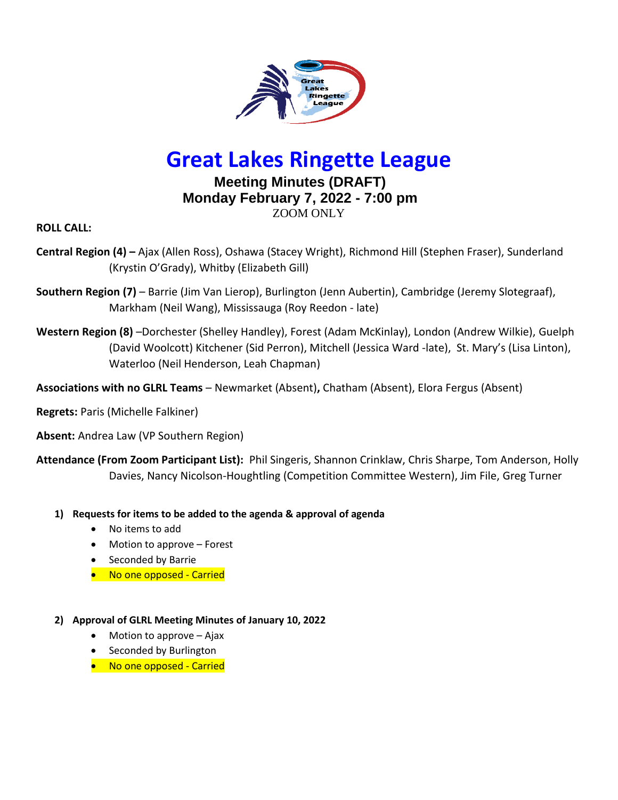

# **Great Lakes Ringette League**

# **Meeting Minutes (DRAFT) Monday February 7, 2022 - 7:00 pm** ZOOM ONLY

**ROLL CALL:** 

- **Central Region (4) –** Ajax (Allen Ross), Oshawa (Stacey Wright), Richmond Hill (Stephen Fraser), Sunderland (Krystin O'Grady), Whitby (Elizabeth Gill)
- **Southern Region (7)**  Barrie (Jim Van Lierop), Burlington (Jenn Aubertin), Cambridge (Jeremy Slotegraaf), Markham (Neil Wang), Mississauga (Roy Reedon - late)
- **Western Region (8)** –Dorchester (Shelley Handley), Forest (Adam McKinlay), London (Andrew Wilkie), Guelph (David Woolcott) Kitchener (Sid Perron), Mitchell (Jessica Ward -late), St. Mary's (Lisa Linton), Waterloo (Neil Henderson, Leah Chapman)
- **Associations with no GLRL Teams**  Newmarket (Absent)**,** Chatham (Absent), Elora Fergus (Absent)
- **Regrets:** Paris (Michelle Falkiner)

**Absent:** Andrea Law (VP Southern Region)

**Attendance (From Zoom Participant List):** Phil Singeris, Shannon Crinklaw, Chris Sharpe, Tom Anderson, Holly Davies, Nancy Nicolson-Houghtling (Competition Committee Western), Jim File, Greg Turner

- **1) Requests for items to be added to the agenda & approval of agenda**
	- No items to add
	- Motion to approve Forest
	- Seconded by Barrie
	- No one opposed Carried

#### **2) Approval of GLRL Meeting Minutes of January 10, 2022**

- Motion to approve  $-$  Ajax
- Seconded by Burlington
- No one opposed Carried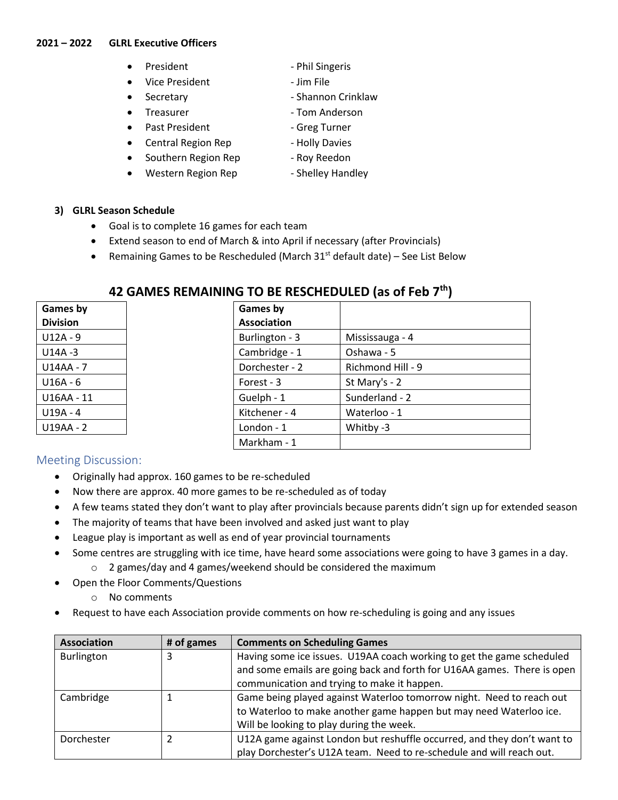#### **2021 – 2022 GLRL Executive Officers**

- President Phil Singeris
- Vice President Jim File
- 
- 
- Past President Greg Turner
- Central Region Rep Holly Davies
- Southern Region Rep Roy Reedon
- Western Region Rep Shelley Handley
- 
- 
- Secretary  **Shannon Crinklaw**
- Treasurer Tom Anderson
	-
	-
	-
	-
- **3) GLRL Season Schedule** 
	- Goal is to complete 16 games for each team
	- Extend season to end of March & into April if necessary (after Provincials)
	- Remaining Games to be Rescheduled (March  $31<sup>st</sup>$  default date) See List Below

| Games by        | Games by           |                   |
|-----------------|--------------------|-------------------|
| <b>Division</b> | <b>Association</b> |                   |
| $U12A - 9$      | Burlington - 3     | Mississauga - 4   |
| $U14A - 3$      | Cambridge - 1      | Oshawa - 5        |
| U14AA - 7       | Dorchester - 2     | Richmond Hill - 9 |
| $U16A - 6$      | Forest - 3         | St Mary's - 2     |
| U16AA - 11      | Guelph - 1         | Sunderland - 2    |
| $U19A - 4$      | Kitchener - 4      | Waterloo - 1      |
| U19AA - 2       | London - 1         | Whitby -3         |
|                 | Markham - 1        |                   |

# **42 GAMES REMAINING TO BE RESCHEDULED (as of Feb 7th)**

## Meeting Discussion:

- Originally had approx. 160 games to be re-scheduled
- Now there are approx. 40 more games to be re-scheduled as of today
- A few teams stated they don't want to play after provincials because parents didn't sign up for extended season
- The majority of teams that have been involved and asked just want to play
- League play is important as well as end of year provincial tournaments
- Some centres are struggling with ice time, have heard some associations were going to have 3 games in a day. o 2 games/day and 4 games/weekend should be considered the maximum
- Open the Floor Comments/Questions
	- o No comments
- Request to have each Association provide comments on how re-scheduling is going and any issues

| Association | # of games | <b>Comments on Scheduling Games</b>                                     |
|-------------|------------|-------------------------------------------------------------------------|
| Burlington  | 3          | Having some ice issues. U19AA coach working to get the game scheduled   |
|             |            | and some emails are going back and forth for U16AA games. There is open |
|             |            | communication and trying to make it happen.                             |
| Cambridge   |            | Game being played against Waterloo tomorrow night. Need to reach out    |
|             |            | to Waterloo to make another game happen but may need Waterloo ice.      |
|             |            | Will be looking to play during the week.                                |
| Dorchester  |            | U12A game against London but reshuffle occurred, and they don't want to |
|             |            | play Dorchester's U12A team. Need to re-schedule and will reach out.    |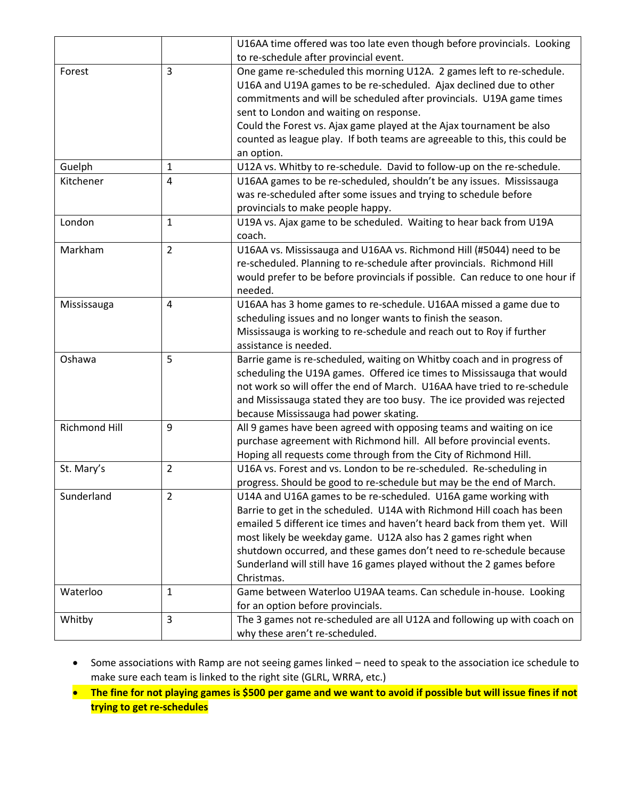|                      |                | U16AA time offered was too late even though before provincials. Looking      |
|----------------------|----------------|------------------------------------------------------------------------------|
|                      |                | to re-schedule after provincial event.                                       |
| Forest               | 3              | One game re-scheduled this morning U12A. 2 games left to re-schedule.        |
|                      |                | U16A and U19A games to be re-scheduled. Ajax declined due to other           |
|                      |                | commitments and will be scheduled after provincials. U19A game times         |
|                      |                | sent to London and waiting on response.                                      |
|                      |                | Could the Forest vs. Ajax game played at the Ajax tournament be also         |
|                      |                | counted as league play. If both teams are agreeable to this, this could be   |
|                      |                | an option.                                                                   |
| Guelph               | 1              | U12A vs. Whitby to re-schedule. David to follow-up on the re-schedule.       |
| Kitchener            | 4              | U16AA games to be re-scheduled, shouldn't be any issues. Mississauga         |
|                      |                | was re-scheduled after some issues and trying to schedule before             |
|                      |                | provincials to make people happy.                                            |
| London               | $\mathbf{1}$   | U19A vs. Ajax game to be scheduled. Waiting to hear back from U19A           |
|                      |                | coach.                                                                       |
| Markham              | $\overline{2}$ | U16AA vs. Mississauga and U16AA vs. Richmond Hill (#5044) need to be         |
|                      |                | re-scheduled. Planning to re-schedule after provincials. Richmond Hill       |
|                      |                | would prefer to be before provincials if possible. Can reduce to one hour if |
|                      |                | needed.                                                                      |
| Mississauga          | 4              | U16AA has 3 home games to re-schedule. U16AA missed a game due to            |
|                      |                | scheduling issues and no longer wants to finish the season.                  |
|                      |                | Mississauga is working to re-schedule and reach out to Roy if further        |
|                      |                | assistance is needed.                                                        |
| Oshawa               | 5              | Barrie game is re-scheduled, waiting on Whitby coach and in progress of      |
|                      |                | scheduling the U19A games. Offered ice times to Mississauga that would       |
|                      |                | not work so will offer the end of March. U16AA have tried to re-schedule     |
|                      |                | and Mississauga stated they are too busy. The ice provided was rejected      |
|                      |                | because Mississauga had power skating.                                       |
| <b>Richmond Hill</b> | 9              | All 9 games have been agreed with opposing teams and waiting on ice          |
|                      |                | purchase agreement with Richmond hill. All before provincial events.         |
|                      |                | Hoping all requests come through from the City of Richmond Hill.             |
| St. Mary's           | $\overline{2}$ | U16A vs. Forest and vs. London to be re-scheduled. Re-scheduling in          |
|                      |                | progress. Should be good to re-schedule but may be the end of March.         |
| Sunderland           | 2              | U14A and U16A games to be re-scheduled. U16A game working with               |
|                      |                | Barrie to get in the scheduled. U14A with Richmond Hill coach has been       |
|                      |                | emailed 5 different ice times and haven't heard back from them yet. Will     |
|                      |                | most likely be weekday game. U12A also has 2 games right when                |
|                      |                | shutdown occurred, and these games don't need to re-schedule because         |
|                      |                | Sunderland will still have 16 games played without the 2 games before        |
|                      |                | Christmas.                                                                   |
| Waterloo             | 1              | Game between Waterloo U19AA teams. Can schedule in-house. Looking            |
|                      |                | for an option before provincials.                                            |
| Whitby               | 3              | The 3 games not re-scheduled are all U12A and following up with coach on     |
|                      |                | why these aren't re-scheduled.                                               |

- Some associations with Ramp are not seeing games linked need to speak to the association ice schedule to make sure each team is linked to the right site (GLRL, WRRA, etc.)
- **The fine for not playing games is \$500 per game and we want to avoid if possible but will issue fines if not trying to get re-schedules**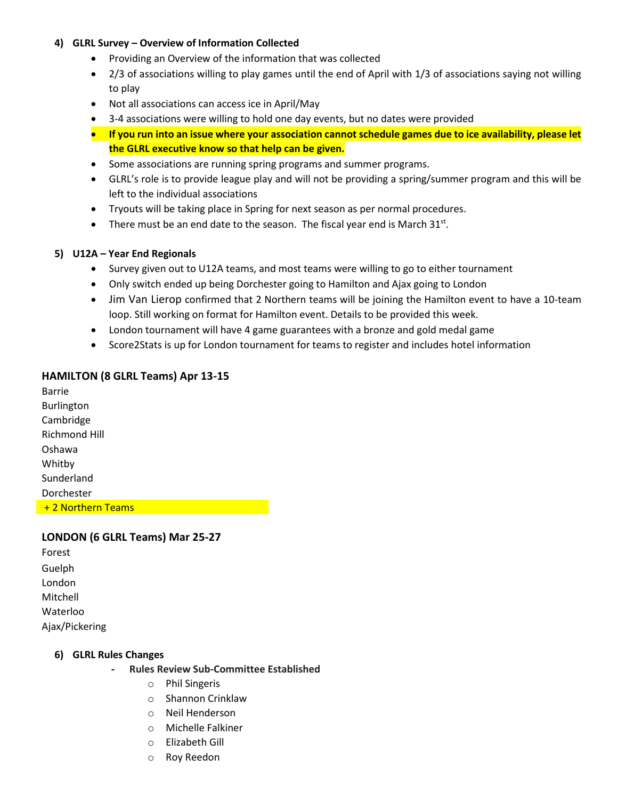#### **4) GLRL Survey – Overview of Information Collected**

- Providing an Overview of the information that was collected
- 2/3 of associations willing to play games until the end of April with 1/3 of associations saying not willing to play
- Not all associations can access ice in April/May
- 3-4 associations were willing to hold one day events, but no dates were provided
- **If you run into an issue where your association cannot schedule games due to ice availability, please let the GLRL executive know so that help can be given.**
- Some associations are running spring programs and summer programs.
- GLRL's role is to provide league play and will not be providing a spring/summer program and this will be left to the individual associations
- Tryouts will be taking place in Spring for next season as per normal procedures.
- There must be an end date to the season. The fiscal year end is March  $31^{st}$ .

#### **5) U12A – Year End Regionals**

- Survey given out to U12A teams, and most teams were willing to go to either tournament
- Only switch ended up being Dorchester going to Hamilton and Ajax going to London
- Jim Van Lierop confirmed that 2 Northern teams will be joining the Hamilton event to have a 10-team loop. Still working on format for Hamilton event. Details to be provided this week.
- London tournament will have 4 game guarantees with a bronze and gold medal game
- Score2Stats is up for London tournament for teams to register and includes hotel information

#### **HAMILTON (8 GLRL Teams) Apr 13-15**

Barrie Burlington Cambridge Richmond Hill Oshawa Whitby Sunderland Dorchester + 2 Northern Teams

#### **LONDON (6 GLRL Teams) Mar 25-27**

| Forest         |
|----------------|
| Guelph         |
| London         |
| Mitchell       |
| Waterloo       |
| Ajax/Pickering |

#### **6) GLRL Rules Changes**

- **- Rules Review Sub-Committee Established**
	- o Phil Singeris
	- o Shannon Crinklaw
	- o Neil Henderson
	- o Michelle Falkiner
	- o Elizabeth Gill
	- o Roy Reedon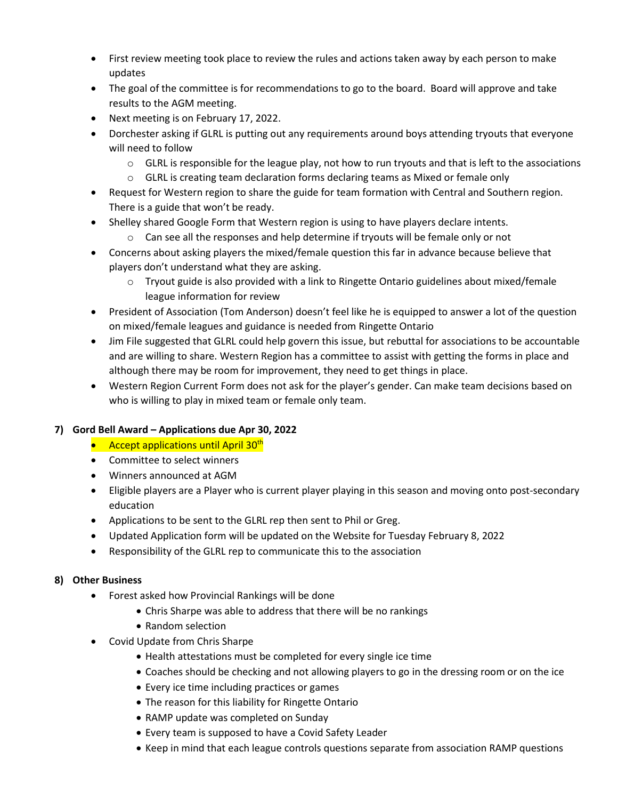- First review meeting took place to review the rules and actions taken away by each person to make updates
- The goal of the committee is for recommendations to go to the board. Board will approve and take results to the AGM meeting.
- Next meeting is on February 17, 2022.
- Dorchester asking if GLRL is putting out any requirements around boys attending tryouts that everyone will need to follow
	- $\circ$  GLRL is responsible for the league play, not how to run tryouts and that is left to the associations
	- $\circ$  GLRL is creating team declaration forms declaring teams as Mixed or female only
- Request for Western region to share the guide for team formation with Central and Southern region. There is a guide that won't be ready.
- Shelley shared Google Form that Western region is using to have players declare intents.
	- $\circ$  Can see all the responses and help determine if tryouts will be female only or not
- Concerns about asking players the mixed/female question this far in advance because believe that players don't understand what they are asking.
	- $\circ$  Tryout guide is also provided with a link to Ringette Ontario guidelines about mixed/female league information for review
- President of Association (Tom Anderson) doesn't feel like he is equipped to answer a lot of the question on mixed/female leagues and guidance is needed from Ringette Ontario
- Jim File suggested that GLRL could help govern this issue, but rebuttal for associations to be accountable and are willing to share. Western Region has a committee to assist with getting the forms in place and although there may be room for improvement, they need to get things in place.
- Western Region Current Form does not ask for the player's gender. Can make team decisions based on who is willing to play in mixed team or female only team.

#### **7) Gord Bell Award – Applications due Apr 30, 2022**

- Accept applications until April 30<sup>th</sup>
- Committee to select winners
- Winners announced at AGM
- Eligible players are a Player who is current player playing in this season and moving onto post-secondary education
- Applications to be sent to the GLRL rep then sent to Phil or Greg.
- Updated Application form will be updated on the Website for Tuesday February 8, 2022
- Responsibility of the GLRL rep to communicate this to the association

#### **8) Other Business**

- Forest asked how Provincial Rankings will be done
	- Chris Sharpe was able to address that there will be no rankings
	- Random selection
- Covid Update from Chris Sharpe
	- Health attestations must be completed for every single ice time
	- Coaches should be checking and not allowing players to go in the dressing room or on the ice
	- Every ice time including practices or games
	- The reason for this liability for Ringette Ontario
	- RAMP update was completed on Sunday
	- Every team is supposed to have a Covid Safety Leader
	- Keep in mind that each league controls questions separate from association RAMP questions